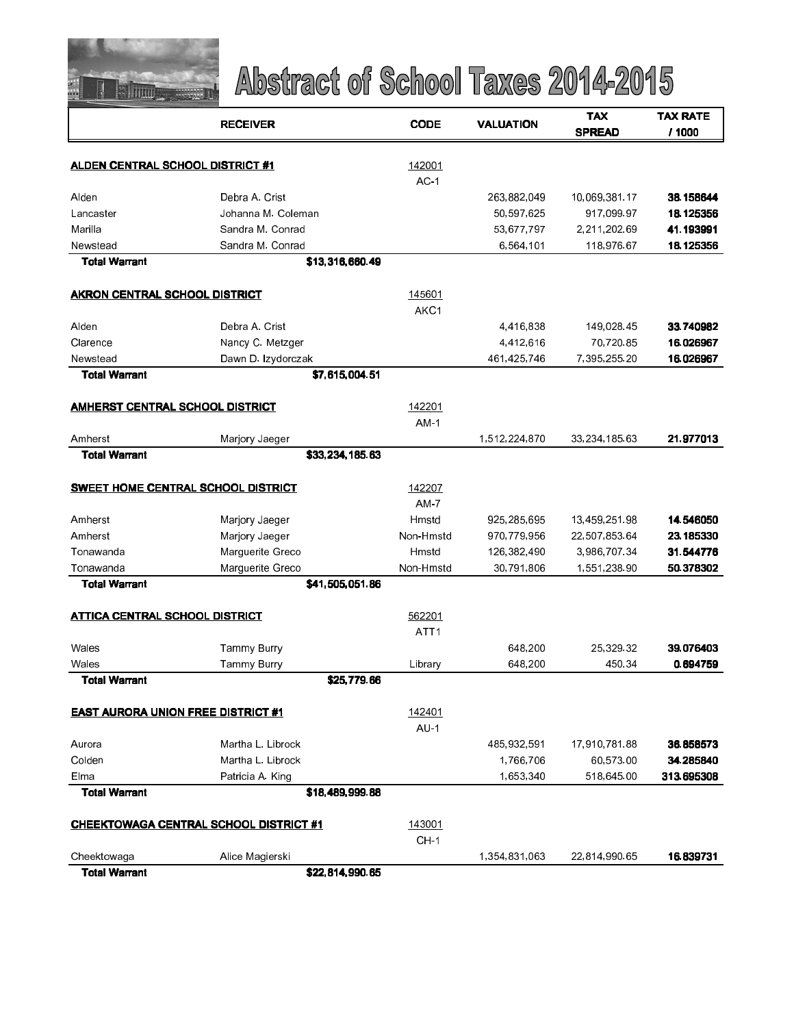

|                                           | <b>RECEIVER</b>                               | <b>CODE</b>      | <b>VALUATION</b> | <b>TAX</b><br><b>SPREAD</b> | <b>TAX RATE</b><br>/ 1000 |
|-------------------------------------------|-----------------------------------------------|------------------|------------------|-----------------------------|---------------------------|
| <b>ALDEN CENTRAL SCHOOL DISTRICT #1</b>   |                                               | 142001           |                  |                             |                           |
|                                           |                                               | AC <sub>1</sub>  |                  |                             |                           |
| Alden                                     | Debra A. Crist                                |                  | 263,882,049      | 10,069,381.17               | 38.158644                 |
| Lancaster                                 | Johanna M. Coleman                            |                  | 50,597,625       | 917,099.97                  | 18.125356                 |
| Marila                                    | Sandra M. Conrad                              |                  | 53,677,797       | 2,211,202.69                | 41.193991                 |
| Newstead                                  | Sandra M. Conrad                              |                  | 6,564,101        | 118,976.67                  | 18.125356                 |
| <b>Total Warrant</b>                      | \$13,316,660.49                               |                  |                  |                             |                           |
| AKRON CENTRAL SCHOOL DISTRICT             |                                               | 145601           |                  |                             |                           |
|                                           |                                               | AKC1             |                  |                             |                           |
| Alden                                     | Debra A Crist                                 |                  | 4,416,838        | 149,028.45                  | 33.740982                 |
| Clarence                                  | Nancy C. Metzger                              |                  | 4,412,616        | 70,720.85                   | 16.026967                 |
| Newstead                                  | Dawn D. Izydorczak                            |                  | 461,425,746      | 7,395,255.20                | 16.026967                 |
| <b>Total Warrant</b>                      | \$7,615,004.51                                |                  |                  |                             |                           |
| AMHERST CENTRAL SCHOOL DISTRICT           |                                               | 142201           |                  |                             |                           |
|                                           |                                               | AM <sub>1</sub>  |                  |                             |                           |
| Amherst                                   | Marjory Jaeger                                |                  | 1,512,224,870    | 33,234,185.63               | 21.977013                 |
| <b>Total Warrant</b>                      | \$33,234,185.63                               |                  |                  |                             |                           |
|                                           | <b>SWEET HOME CENTRAL SCHOOL DISTRICT</b>     | 142207           |                  |                             |                           |
|                                           |                                               | $AM-7$           |                  |                             |                           |
| Amherst                                   | Marjory Jaeger                                | Hmstd            | 925,285,695      | 13,459,251.98               | 14.546050                 |
| Amherst                                   | Marjory Jaeger                                | Non-Hmstd        | 970,779,956      | 22,507,853.64               | 23.185330                 |
| Tonawanda                                 | Marguerite Greco                              | Hmstd            | 126,382,490      | 3,986,707.34                | 31.544776                 |
| Tonawanda                                 | Marguerite Greco                              | Non-Hmstd        | 30,791,806       | 1,551,238.90                | 50.378302                 |
| <b>Total Warrant</b>                      | \$41,505,051.86                               |                  |                  |                             |                           |
| <b>ATTICA CENTRAL SCHOOL DISTRICT</b>     |                                               | 562201           |                  |                             |                           |
|                                           |                                               | ATT <sub>1</sub> |                  |                             |                           |
| Wales                                     | Tammy Burry                                   |                  | 648,200          | 25 329 32                   | 39.076403                 |
| Wales                                     | Tammy Burry                                   | Library          | 648,200          | 450.34                      | 0.694759                  |
| <b>Total Warrant</b>                      | \$25,779.66                                   |                  |                  |                             |                           |
| <b>EAST AURORA UNION FREE DISTRICT #1</b> |                                               | 142401           |                  |                             |                           |
|                                           |                                               | AU <sub>1</sub>  |                  |                             |                           |
| Aurora                                    | Martha L. Librock                             |                  | 485,932,591      | 17,910,781.88               | 36.858573                 |
| Colden                                    | Martha L. Librock                             |                  | 1,766,706        | 60,573.00                   | 34.285840                 |
| Elma                                      | Patricia A. King                              |                  | 1,653,340        | 518,645.00                  | 313.695308                |
| <b>Total Warrant</b>                      | \$18,489,999.88                               |                  |                  |                             |                           |
|                                           | <u>CHEEKTOWAGA CENTRAL SCHOOL DISTRICT #1</u> | 143001           |                  |                             |                           |
|                                           |                                               | CH <sub>1</sub>  |                  |                             |                           |
| Cheektowaga                               | Alice Magierski                               |                  | 1,354,831,063    | 22,814,990.65               | 16.839731                 |
| <b>Total Warrant</b>                      | \$22,814,990.65                               |                  |                  |                             |                           |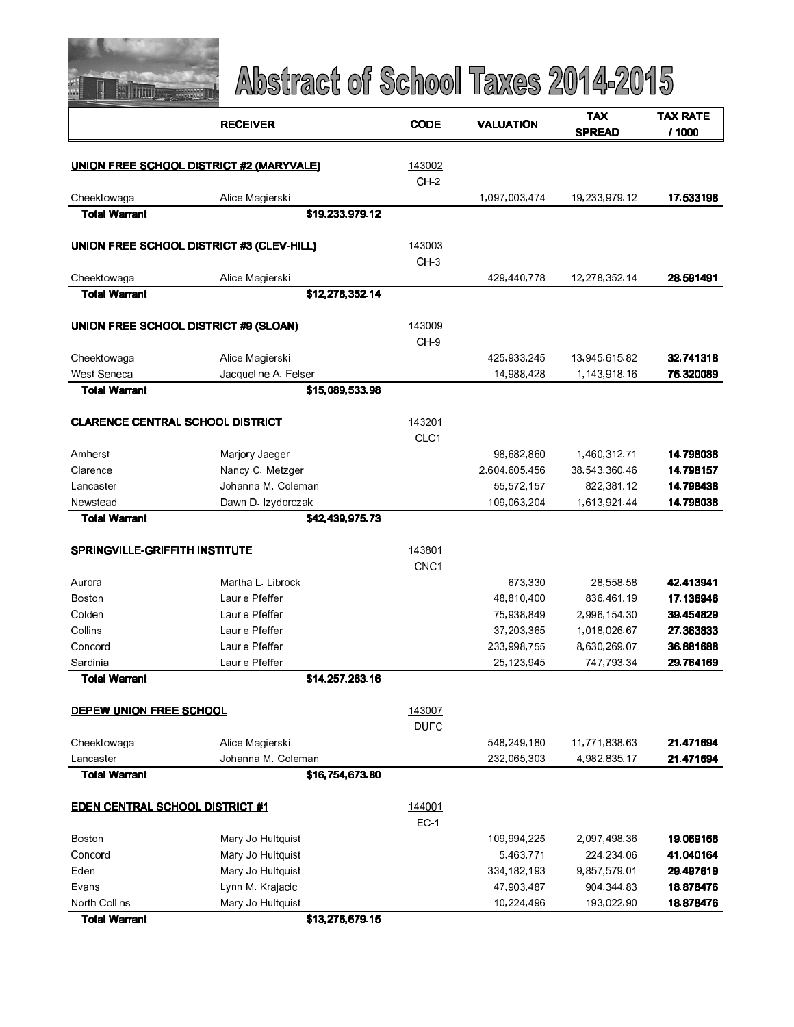

|                                         | <b>RECEIVER</b>                                  | <b>CODE</b>      | VALUATION     | <b>TAX</b>    | <b>TAX RATE</b> |
|-----------------------------------------|--------------------------------------------------|------------------|---------------|---------------|-----------------|
|                                         |                                                  |                  |               | <b>SPREAD</b> | / 1000          |
|                                         | <b>UNION FREE SCHOOL DISTRICT #2 (MARYVALE)</b>  | 143002           |               |               |                 |
|                                         |                                                  | CH <sub>2</sub>  |               |               |                 |
| Cheektowaga                             | Alice Magierski                                  |                  | 1,097,003,474 | 19,233,979.12 | 17.533198       |
| <b>Total Warrant</b>                    | \$19,233,979.12                                  |                  |               |               |                 |
|                                         | <b>UNION FREE SCHOOL DISTRICT #3 (CLEV-HILL)</b> | 143003           |               |               |                 |
|                                         |                                                  | $CH-3$           |               |               |                 |
| Cheektowaga                             | Alice Magierski                                  |                  | 429,440,778   | 12,278,352.14 | 28.591491       |
| <b>Total Warrant</b>                    | \$12,278,352.14                                  |                  |               |               |                 |
|                                         | UNION FREE SCHOOL DISTRICT #9 (SLOAN)            | 143009           |               |               |                 |
|                                         |                                                  | CH-9             |               |               |                 |
| Cheektowaga                             | Alice Magierski                                  |                  | 425,933,245   | 13,945,615.82 | 32.741318       |
| West Seneca                             | Jacqueline A. Felser                             |                  | 14,988,428    | 1,143,918.16  | 76.320089       |
| <b>Total Warrant</b>                    | \$15,089,533.98                                  |                  |               |               |                 |
| <b>CLARENCE CENTRAL SCHOOL DISTRICT</b> |                                                  | 143201           |               |               |                 |
|                                         |                                                  | CLC <sub>1</sub> |               |               |                 |
| Amherst                                 | Marjory Jaeger                                   |                  | 98,682,860    | 1,460,312.71  | 14.798038       |
| Clarence                                | Nancy C. Metzger                                 |                  | 2,604,605,456 | 38,543,360.46 | 14.798157       |
| Lancaster                               | Johanna M. Coleman                               |                  | 55,572,157    | 822,381.12    | 14.798438       |
| Newstead                                | Dawn D. Izydorczak                               |                  | 109,063,204   | 1,613,921.44  | 14.798038       |
| <b>Total Warrant</b>                    | \$42,439,975.73                                  |                  |               |               |                 |
| <b>SPRINGVILLE-GRIFFITH INSTITUTE</b>   |                                                  | 143801           |               |               |                 |
|                                         |                                                  | CNC <sub>1</sub> |               |               |                 |
| Aurora                                  | Martha L. Librock                                |                  | 673,330       | 28,558.58     | 42.413941       |
| Boston                                  | Laurie Pfeffer                                   |                  | 48,810,400    | 836,461.19    | 17.136946       |
| Colden                                  | Laurie Pfeffer                                   |                  | 75,938,849    | 2,996,154.30  | 39.454829       |
| Collins                                 | Laurie Pfeffer                                   |                  | 37,203,365    | 1,018,026.67  | 27.363833       |
| Concord                                 | Laurie Pfeffer                                   |                  | 233,998,755   | 8,630,269.07  | 36.881688       |
| Sardinia                                | Laune Pfeffer                                    |                  | 25,123,945    | 747,793.34    | 29.764169       |
| <b>Total Warrant</b>                    | \$14,257,263.16                                  |                  |               |               |                 |
| DEPEW UNION FREE SCHOOL                 |                                                  | 143007           |               |               |                 |
|                                         |                                                  | <b>DUFC</b>      |               |               |                 |
| Cheektowaga                             | Alice Magierski                                  |                  | 548,249,180   | 11,771,838.63 | 21.471694       |
| Lancaster                               | Johanna M. Coleman                               |                  | 232,065,303   | 4,982,835.17  | 21.471694       |
| <b>Total Warrant</b>                    | \$16,754,673.80                                  |                  |               |               |                 |
| <b>EDEN CENTRAL SCHOOL DISTRICT #1</b>  |                                                  | 144001           |               |               |                 |
|                                         |                                                  | $EC-1$           |               |               |                 |
| Boston                                  | Mary Jo Hultquist                                |                  | 109,994,225   | 2,097,498.36  | 19.069168       |
| Concord                                 | Mary Jo Hultquist                                |                  | 5,463,771     | 224, 234.06   | 41.040164       |
| Eden                                    | Mary Jo Hultquist                                |                  | 334, 182, 193 | 9,857,579.01  | 29.497619       |
| Evans                                   | Lynn M. Krajacic                                 |                  | 47,903,487    | 904, 344 83   | 18.878476       |
| North Collins                           | Mary Jo Hultquist                                |                  | 10,224,496    | 193,022.90    | 18.878476       |
| <b>Total Warrant</b>                    | \$13,276,679.15                                  |                  |               |               |                 |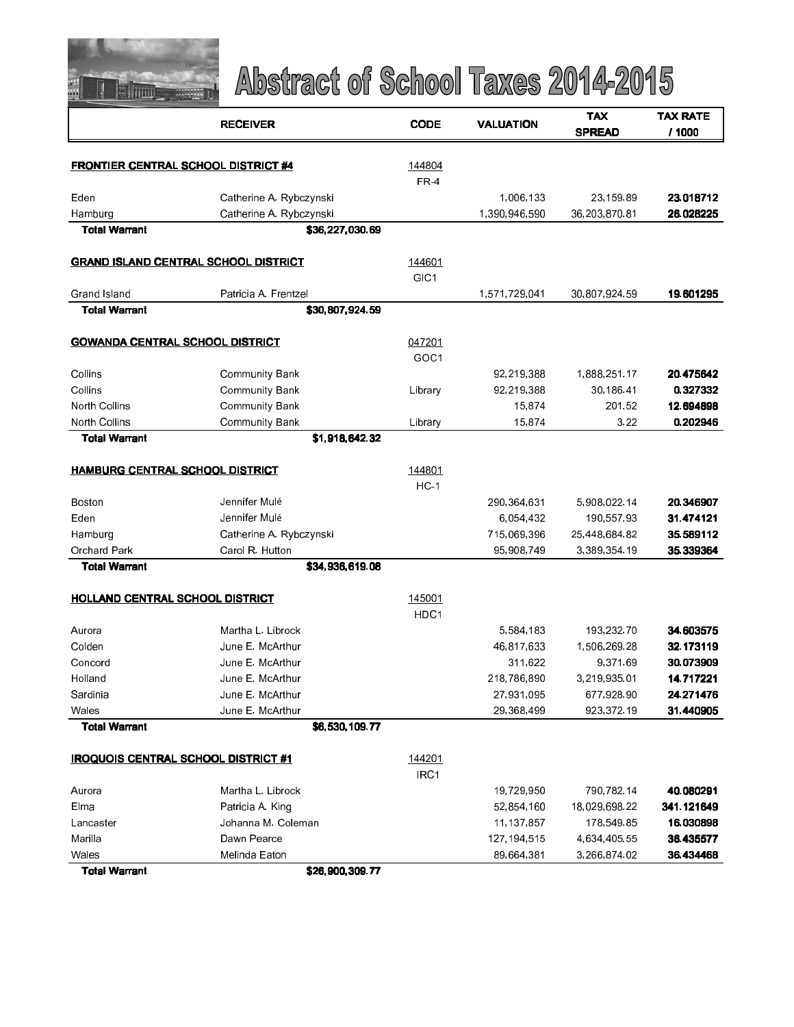

|                                        | <b>RECEIVER</b>                             | <b>CODE</b>     | <b>VALUATION</b> | <b>TAX</b>    | <b>TAX RATE</b> |
|----------------------------------------|---------------------------------------------|-----------------|------------------|---------------|-----------------|
|                                        |                                             |                 | <b>SPREAD</b>    | / 1000        |                 |
|                                        |                                             |                 |                  |               |                 |
|                                        | <b>FRONTIER CENTRAL SCHOOL DISTRICT #4</b>  | 144804          |                  |               |                 |
|                                        |                                             | FR <sub>4</sub> |                  |               |                 |
| Eden                                   | Catherine A Rybczynski                      |                 | 1,006,133        | 23,159.89     | 23.018712       |
| Hamburg                                | Catherine A. Rybczynski                     |                 | 1,390,946,590    | 36,203,870.81 | 26.028225       |
| <b>Total Warrant</b>                   | \$36,227,030.69                             |                 |                  |               |                 |
|                                        | <b>GRAND ISLAND CENTRAL SCHOOL DISTRICT</b> | 144601          |                  |               |                 |
|                                        |                                             | GIC1            |                  |               |                 |
| Grand Island                           | Patricia A. Frentzel                        |                 | 1,571,729,041    | 30,807,924 59 | 19.601295       |
| <b>Total Warrant</b>                   | \$30,807,924.59                             |                 |                  |               |                 |
| <b>GOWANDA CENTRAL SCHOOL DISTRICT</b> |                                             | 047201          |                  |               |                 |
|                                        |                                             | GOC1            |                  |               |                 |
| Collins                                | <b>Community Bank</b>                       |                 | 92,219,388       | 1888 251 17   | 20.475642       |
| Collins                                | <b>Community Bank</b>                       | Library         | 92,219,388       | 30,186.41     | 0.327332        |
| North Collins                          | <b>Community Bank</b>                       |                 | 15,874           | 201 52        | 12.694898       |
| North Collins                          | <b>Community Bank</b>                       | Library         | 15,874           | 3.22          | 0.202946        |
| <b>Total Warrant</b>                   | \$1,918,642.32                              |                 |                  |               |                 |
|                                        |                                             |                 |                  |               |                 |
| <b>HAMBURG CENTRAL SCHOOL DISTRICT</b> |                                             | 144801          |                  |               |                 |
|                                        |                                             | $HC-1$          |                  |               |                 |
| Boston                                 | Jennifer Mulé                               |                 | 290,364,631      | 5,908,022.14  | 20.346907       |
| Eden                                   | Jennifer Mulé                               |                 | 6,054,432        | 190,557.93    | 31.474121       |
| Hamburg                                | Catherine A. Rybczynski                     |                 | 715,069,396      | 25,448,684.82 | 35.589112       |
| Orchard Park                           | Carol R. Hutton                             |                 | 95,908,749       | 3,389,354.19  | 35.339364       |
| <b>Total Warrant</b>                   | \$34,936,619.08                             |                 |                  |               |                 |
| <b>HOLLAND CENTRAL SCHOOL DISTRICT</b> |                                             | 145001          |                  |               |                 |
|                                        |                                             | HDC1            |                  |               |                 |
| Aurora                                 | Martha L. Librock                           |                 | 5,584,183        | 193,232.70    | 34.603575       |
| Colden                                 | June E. McArthur                            |                 | 46,817,633       | 1,506,269.28  | 32.173119       |
| Concord                                | June E. McArthur                            |                 | 311,622          | 9,371.69      | 30.073909       |
| Holland                                | June E. McArthur                            |                 | 218,786,890      | 3,219,935.01  | 14.717221       |
| Sardinia                               | June E. McArthur                            |                 | 27,931,095       | 677,928.90    | 24.271476       |
| Wales                                  | June E. McArthur                            |                 | 29,368,499       | 923 372 19    | 31.440905       |
| <b>Total Warrant</b>                   | \$6,530,109.77                              |                 |                  |               |                 |
|                                        | <b>IROQUOIS CENTRAL SCHOOL DISTRICT #1</b>  | 144201          |                  |               |                 |
|                                        |                                             | IRC1            |                  |               |                 |
| Aurora                                 | Martha L. Librock                           |                 | 19,729,950       | 790,782.14    | 40.080291       |
| Elma                                   | Patricia A King                             |                 | 52,854,160       | 18,029,698.22 | 341.121649      |
| Lancaster                              | Johanna M. Coleman                          |                 | 11,137,857       | 178,549.85    | 16.030898       |
| Marilla                                | Dawn Pearce                                 |                 | 127, 194, 515    | 4,634,405.55  | 36.435577       |
| Wales                                  | Melinda Eaton                               |                 | 89,664,381       | 3,266,874.02  | 36.434468       |
| <b>Total Warrant</b>                   | \$26,900,309,77                             |                 |                  |               |                 |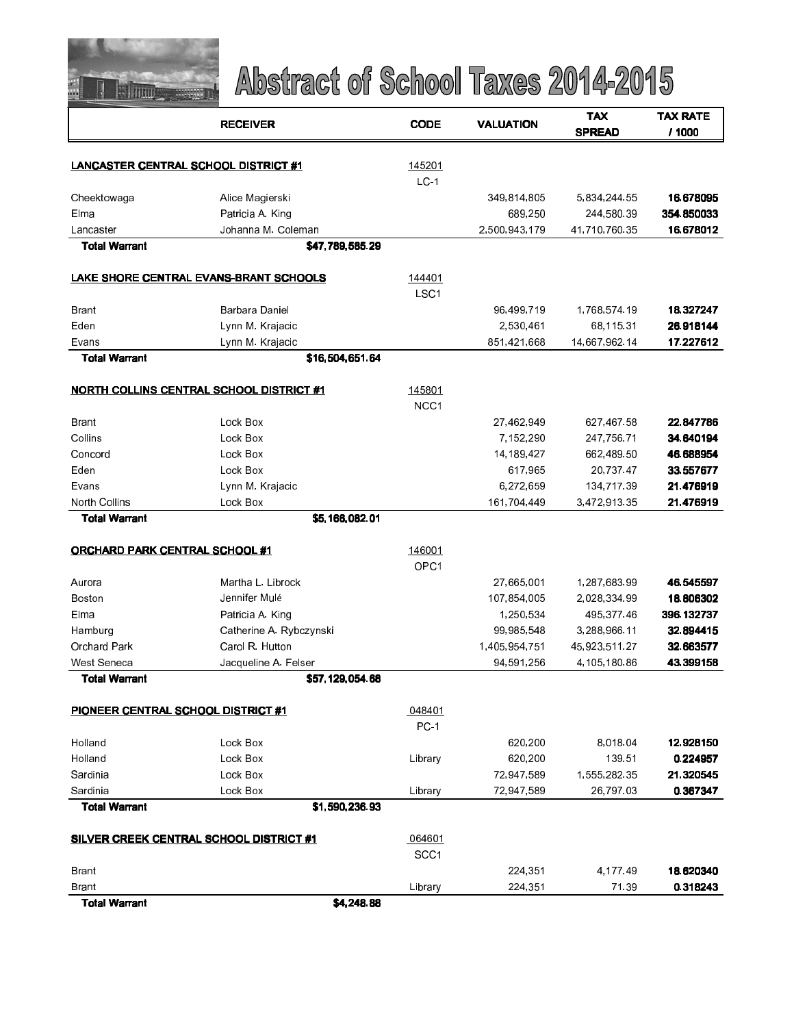

|                                       | <b>RECEIVER</b>                                 | <b>CODE</b>                | <b>VALUATION</b> | TAX           | TAX RATE   |
|---------------------------------------|-------------------------------------------------|----------------------------|------------------|---------------|------------|
|                                       |                                                 |                            |                  | <b>SPREAD</b> | / 1000     |
| LANCASTER CENTRAL SCHOOL DISTRICT #1  |                                                 | 145201                     |                  |               |            |
|                                       |                                                 | $LC-1$                     |                  |               |            |
| Cheektowaga                           | Alice Magierski                                 |                            | 349,814,805      | 5,834,244.55  | 16.678095  |
| Elma                                  | Patricia A. King                                |                            | 689,250          | 244,580.39    | 354.850033 |
| Lancaster                             | Johanna M. Coleman                              |                            | 2,500,943,179    | 41,710,760.35 | 16.678012  |
| <b>Total Warrant</b>                  | \$47,789,585.29                                 |                            |                  |               |            |
|                                       |                                                 |                            |                  |               |            |
|                                       | LAKE SHORE CENTRAL EVANS-BRANT SCHOOLS          | 144401<br>LSC <sub>1</sub> |                  |               |            |
| <b>Brant</b>                          | Barbara Daniel                                  |                            | 96,499,719       | 1,768,574.19  | 18.327247  |
| Eden                                  | Lynn M. Krajacic                                |                            | 2,530,461        | 68,115.31     | 26.918144  |
| Evans                                 | Lynn M. Krajacic                                |                            | 851,421,668      | 14,667,962.14 | 17.227612  |
| <b>Total Warrant</b>                  | \$16,504,651.64                                 |                            |                  |               |            |
|                                       |                                                 |                            |                  |               |            |
|                                       | <b>NORTH COLLINS CENTRAL SCHOOL DISTRICT #1</b> | 145801                     |                  |               |            |
|                                       |                                                 | NCC <sub>1</sub>           |                  |               |            |
| <b>Brant</b>                          | Lock Box                                        |                            | 27,462,949       | 627,467.58    | 22.847786  |
| Collins                               | Lock Box                                        |                            | 7,152,290        | 247,756.71    | 34.640194  |
| Concord                               | Lock Box                                        |                            | 14, 189, 427     | 662,489.50    | 46.688954  |
| Eden                                  | Lock Box                                        |                            | 617,965          | 20,737.47     | 33.557677  |
| Evans                                 | Lynn M. Krajacic                                |                            | 6,272,659        | 134,717.39    | 21.476919  |
| North Collins                         | Lock Box                                        |                            | 161,704,449      | 3,472,913.35  | 21.476919  |
| <b>Total Warrant</b>                  | \$5,166,082.01                                  |                            |                  |               |            |
| <b>ORCHARD PARK CENTRAL SCHOOL #1</b> |                                                 | 146001                     |                  |               |            |
|                                       |                                                 | OPC <sub>1</sub>           |                  |               |            |
| Aurora                                | Martha L. Librock                               |                            | 27,665,001       | 1,287,683.99  | 46.545597  |
| Boston                                | Jennifer Mulé                                   |                            | 107,854,005      | 2,028,334.99  | 18.806302  |
| Elma                                  | Patricia A. King                                |                            | 1,250,534        | 495,377.46    | 396.132737 |
| Hamburg                               | Catherine A. Rybczynski                         |                            | 99 985 548       | 3,288,966.11  | 32.894415  |
| Orchard Park                          | Carol R. Hutton                                 |                            | 1,405,954,751    | 45,923,511.27 | 32.663577  |
| West Seneca                           | Jacqueline A. Felser                            |                            | 94, 591, 256     | 4,105,180.86  | 43.399158  |
| <b>Total Warrant</b>                  | \$57,129,054.68                                 |                            |                  |               |            |
| PIONEER CENTRAL SCHOOL DISTRICT #1    |                                                 | 048401                     |                  |               |            |
|                                       |                                                 | <b>PC-1</b>                |                  |               |            |
| Holland                               | Lock Box                                        |                            | 620,200          | 8 0 18 04     | 12.928150  |
| Holland                               | Lock Box                                        | Library                    | 620,200          | 139.51        | 0.224957   |
| Sardinia                              | Lock Box                                        |                            | 72,947,589       | 1,555,282.35  | 21.320545  |
| Sardinia                              | Lock Box                                        | Library                    | 72,947,589       | 26,797.03     | 0.367347   |
| <b>Total Warrant</b>                  | \$1,590,236.93                                  |                            |                  |               |            |
|                                       | <b>SILVER CREEK CENTRAL SCHOOL DISTRICT #1</b>  | 064601                     |                  |               |            |
|                                       |                                                 | SCC <sub>1</sub>           |                  |               |            |
| Brant                                 |                                                 |                            | 224,351          | 4,177.49      | 18.620340  |
| <b>Brant</b>                          |                                                 | Library                    | 224,351          | 71.39         | 0.318243   |
| <b>Total Warrant</b>                  | \$4,248.88                                      |                            |                  |               |            |